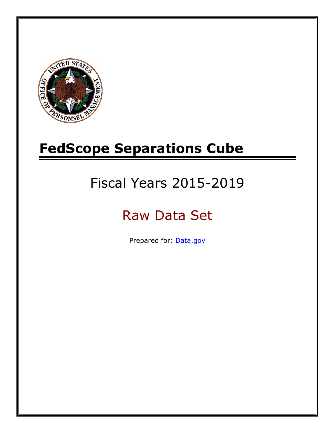

# **FedScope Separations Cube**

# Fiscal Years 2015-2019

# Raw Data Set

Prepared for: [Data.gov](http://www.data.gov/)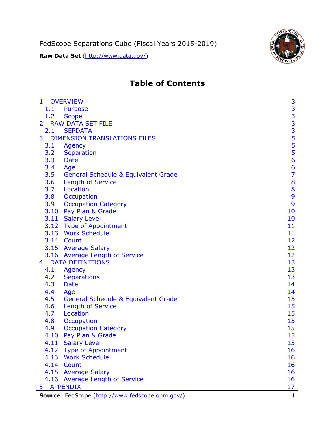

# **Table of Contents**

| $\mathbf{1}$   | <b>OVERVIEW</b>                                 | 3              |
|----------------|-------------------------------------------------|----------------|
| 1.1            | Purpose                                         |                |
| 1.2            | <b>Scope</b>                                    |                |
| $\overline{2}$ | <b>RAW DATA SET FILE</b>                        |                |
| 2.1            | <b>SEPDATA</b>                                  |                |
| 3              | <b>DIMENSION TRANSLATIONS FILES</b>             | <b>33335</b>   |
| 3.1            | Agency                                          | 5              |
| 3.2            | Separation                                      |                |
| 3.3            | <b>Date</b>                                     | $\frac{5}{6}$  |
| 3.4            | Age                                             | $\overline{6}$ |
| 3.5            | General Schedule & Equivalent Grade             | $\overline{7}$ |
| 3.6            | Length of Service                               | 8              |
| 3.7            | Location                                        | 8              |
| 3.8            | Occupation                                      | 9              |
| 3.9            | <b>Occupation Category</b>                      | 9              |
|                | 3.10 Pay Plan & Grade                           | 10             |
|                | 3.11 Salary Level                               | 10             |
|                | 3.12 Type of Appointment                        | 11             |
|                | 3.13 Work Schedule                              | 11             |
|                | 3.14 Count                                      | 12             |
|                | 3.15 Average Salary                             | 12             |
|                | 3.16 Average Length of Service                  | 12             |
| $\overline{4}$ | <b>DATA DEFINITIONS</b>                         | 13             |
| 4.1            | Agency                                          | 13             |
| 4.2            | <b>Separations</b>                              | 13             |
| 4.3            | <b>Date</b>                                     | 14             |
| 4.4            | Age                                             | 14             |
| 4.5            | <b>General Schedule &amp; Equivalent Grade</b>  | 15             |
| 4.6            | <b>Length of Service</b>                        | 15             |
| 4.7            | Location                                        | 15             |
| 4.8            | Occupation                                      | 15             |
| 4.9            | <b>Occupation Category</b>                      | 15             |
| 4.10           | Pay Plan & Grade                                | 15             |
|                | 4.11 Salary Level                               | 15             |
|                | 4.12 Type of Appointment                        | 16             |
|                | 4.13 Work Schedule                              | 16             |
|                | 4.14 Count                                      | 16             |
|                | 4.15 Average Salary                             | 16             |
|                | 4.16 Average Length of Service                  | 16             |
| 5              | <b>APPENDIX</b>                                 | 17             |
|                | Source: FedScope (http://www.fedscope.opm.gov/) | $\mathbf{1}$   |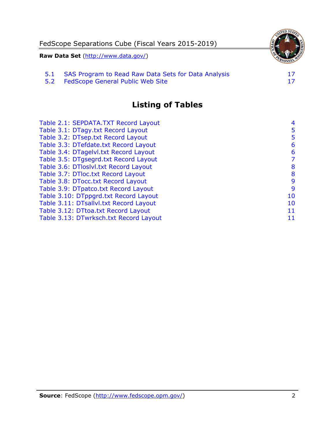

5.2 [FedScope General Public Web Site](#page-17-2)

# **Listing of Tables**

| Table 2.1: SEPDATA.TXT Record Layout   | 4  |
|----------------------------------------|----|
| Table 3.1: DTagy.txt Record Layout     | 5  |
| Table 3.2: DTsep.txt Record Layout     | 5  |
| Table 3.3: DTefdate.txt Record Layout  | 6  |
| Table 3.4: DTagelvl.txt Record Layout  | 6  |
| Table 3.5: DTgsegrd.txt Record Layout  | 7  |
| Table 3.6: DTloslvl.txt Record Layout  | 8  |
| Table 3.7: DTloc.txt Record Layout     | 8  |
| Table 3.8: DTocc.txt Record Layout     | 9  |
| Table 3.9: DTpatco.txt Record Layout   | 9  |
| Table 3.10: DTppgrd.txt Record Layout  | 10 |
| Table 3.11: DTsallvl.txt Record Layout | 10 |
| Table 3.12: DTtoa.txt Record Layout    | 11 |
| Table 3.13: DTwrksch.txt Record Layout | 11 |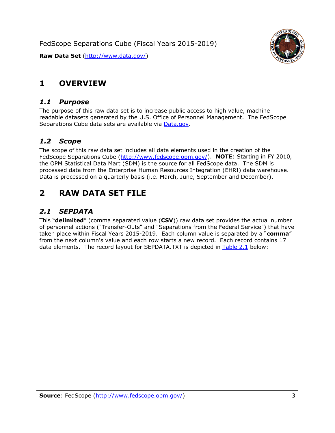FedScope Separations Cube (Fiscal Years 2015-2019)

**Raw Data Set** (http://www.data.gov/)



## <span id="page-3-0"></span>**1 OVERVIEW**

#### <span id="page-3-1"></span>*1.1 Purpose*

The purpose of this raw data set is to increase public access to high value, machine readable datasets generated by the U.S. Office of Personnel Management. The FedScope Separations Cube data sets are available via [Data.gov.](http://www.data.gov/)

#### <span id="page-3-2"></span>*1.2 Scope*

The scope of this raw data set includes all data elements used in the creation of the FedScope Separations Cube [\(http://www.fedscope.opm.gov/\)](http://www.fedscope.opm.gov/). **NOTE**: Starting in FY 2010, the OPM Statistical Data Mart (SDM) is the source for all FedScope data. The SDM is processed data from the Enterprise Human Resources Integration (EHRI) data warehouse. Data is processed on a quarterly basis (i.e. March, June, September and December).

## <span id="page-3-3"></span>**2 RAW DATA SET FILE**

## <span id="page-3-4"></span>*2.1 SEPDATA*

This "**delimited**" (comma separated value (**CSV**)) raw data set provides the actual number of personnel actions ("Transfer-Outs" and "Separations from the Federal Service") that have taken place within Fiscal Years 2015-2019. Each column value is separated by a "**comma**" from the next column's value and each row starts a new record. Each record contains 17 data elements. The record layout for SEPDATA.TXT is depicted in [Table 2.1](#page-4-0) below: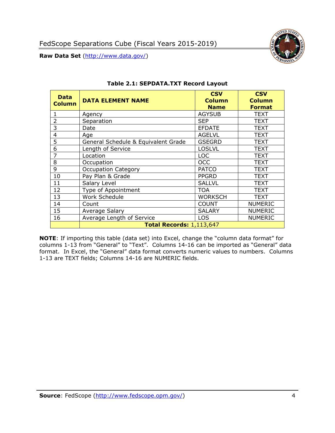

<span id="page-4-0"></span>

| <b>Data</b><br><b>Column</b> | <b>DATA ELEMENT NAME</b>            | <b>CSV</b><br><b>Column</b><br><b>Name</b> | <b>CSV</b><br><b>Column</b><br><b>Format</b> |
|------------------------------|-------------------------------------|--------------------------------------------|----------------------------------------------|
|                              | Agency                              | <b>AGYSUB</b>                              | <b>TEXT</b>                                  |
| 2                            | Separation                          | <b>SEP</b>                                 | <b>TEXT</b>                                  |
| 3                            | Date                                | <b>EFDATE</b>                              | TEXT                                         |
| 4                            | Age                                 | <b>AGELVL</b>                              | <b>TEXT</b>                                  |
| 5                            | General Schedule & Equivalent Grade | <b>GSEGRD</b>                              | <b>TEXT</b>                                  |
| 6                            | Length of Service                   | <b>LOSLVL</b>                              | TEXT                                         |
| 7                            | Location                            | <b>LOC</b>                                 | <b>TEXT</b>                                  |
| 8                            | Occupation                          | <b>OCC</b>                                 | <b>TEXT</b>                                  |
| 9                            | <b>Occupation Category</b>          | <b>PATCO</b>                               | TEXT                                         |
| 10                           | Pay Plan & Grade                    | <b>PPGRD</b>                               | TEXT                                         |
| 11                           | Salary Level                        | <b>SALLVL</b>                              | TEXT                                         |
| 12                           | Type of Appointment                 | <b>TOA</b>                                 | TEXT                                         |
| 13                           | Work Schedule                       | <b>WORKSCH</b>                             | TEXT                                         |
| 14                           | Count                               | <b>COUNT</b>                               | <b>NUMERIC</b>                               |
| 15                           | <b>Average Salary</b>               | <b>SALARY</b>                              | <b>NUMERIC</b>                               |
| 16                           | Average Length of Service           | LOS                                        | <b>NUMERIC</b>                               |
|                              | <b>Total Records: 1,113,647</b>     |                                            |                                              |

#### **Table 2.1: SEPDATA.TXT Record Layout**

**NOTE**: If importing this table (data set) into Excel, change the "column data format" for columns 1-13 from "General" to "Text". Columns 14-16 can be imported as "General" data format. In Excel, the "General" data format converts numeric values to numbers. Columns 1-13 are TEXT fields; Columns 14-16 are NUMERIC fields.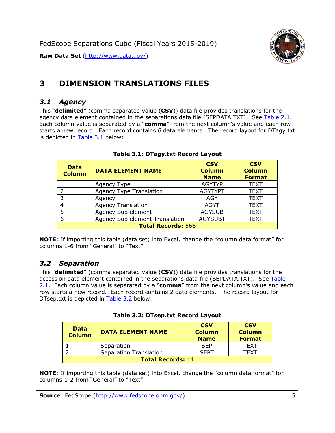

# <span id="page-5-0"></span>**3 DIMENSION TRANSLATIONS FILES**

#### <span id="page-5-1"></span>*3.1 Agency*

This "**delimited**" (comma separated value (**CSV**)) data file provides translations for the agency data element contained in the separations data file (SEPDATA.TXT). See [Table 2.1.](#page-4-0) Each column value is separated by a "**comma**" from the next column's value and each row starts a new record. Each record contains 6 data elements. The record layout for DTagy.txt is depicted in [Table 3.1](#page-5-3) below:

<span id="page-5-3"></span>

| <b>Data</b><br><b>Column</b> | <b>DATA ELEMENT NAME</b>       | <b>CSV</b><br><b>Column</b><br><b>Name</b> | <b>CSV</b><br><b>Column</b><br><b>Format</b> |
|------------------------------|--------------------------------|--------------------------------------------|----------------------------------------------|
|                              | Agency Type                    | <b>AGYTYP</b>                              | <b>TEXT</b>                                  |
|                              | <b>Agency Type Translation</b> | <b>AGYTYPT</b>                             | <b>TEXT</b>                                  |
| 3                            | Agency                         | AGY                                        | <b>TEXT</b>                                  |
|                              | <b>Agency Translation</b>      | <b>AGYT</b>                                | <b>TEXT</b>                                  |
|                              | Agency Sub element             | <b>AGYSUB</b>                              | <b>TEXT</b>                                  |
| 6                            | Agency Sub element Translation | <b>AGYSUBT</b>                             | <b>TEXT</b>                                  |
| <b>Total Records: 566</b>    |                                |                                            |                                              |

#### **Table 3.1: DTagy.txt Record Layout**

**NOTE**: If importing this table (data set) into Excel, change the "column data format" for columns 1-6 from "General" to "Text".

#### <span id="page-5-2"></span>*3.2 Separation*

This "**delimited**" (comma separated value (**CSV**)) data file provides translations for the accession data element contained in the separations data file (SEPDATA.TXT). See [Table](#page-4-0)  [2.1.](#page-4-0) Each column value is separated by a "**comma**" from the next column's value and each row starts a new record. Each record contains 2 data elements. The record layout for DTsep.txt is depicted in [Table 3.2](#page-5-4) below:

<span id="page-5-4"></span>

| <b>Data</b><br><b>Column</b> | <b>DATA ELEMENT NAME</b>      | <b>CSV</b><br><b>Column</b><br><b>Name</b> | <b>CSV</b><br><b>Column</b><br><b>Format</b> |
|------------------------------|-------------------------------|--------------------------------------------|----------------------------------------------|
|                              | Separation                    | <b>SEP</b>                                 | TFXT                                         |
|                              | <b>Separation Translation</b> | <b>SFPT</b>                                | TFXT                                         |
| <b>Total Records: 11</b>     |                               |                                            |                                              |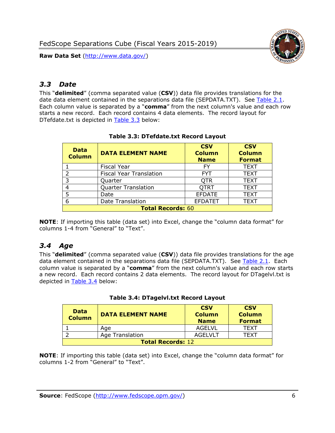

## <span id="page-6-0"></span>*3.3 Date*

This "**delimited**" (comma separated value (**CSV**)) data file provides translations for the date data element contained in the separations data file (SEPDATA.TXT). See [Table 2.1.](#page-4-0) Each column value is separated by a "**comma**" from the next column's value and each row starts a new record. Each record contains 4 data elements. The record layout for DTefdate.txt is depicted in [Table 3.3](#page-6-2) below:

<span id="page-6-2"></span>

| <b>Data</b><br><b>Column</b> | <b>DATA ELEMENT NAME</b>       | <b>CSV</b><br><b>Column</b><br><b>Name</b> | <b>CSV</b><br><b>Column</b><br><b>Format</b> |
|------------------------------|--------------------------------|--------------------------------------------|----------------------------------------------|
|                              | <b>Fiscal Year</b>             | FY                                         | <b>TEXT</b>                                  |
| っ                            | <b>Fiscal Year Translation</b> | <b>FYT</b>                                 | <b>TEXT</b>                                  |
| 3                            | Quarter                        | <b>OTR</b>                                 | <b>TEXT</b>                                  |
|                              | <b>Quarter Translation</b>     | <b>QTRT</b>                                | <b>TEXT</b>                                  |
| 5                            | Date                           | <b>EFDATE</b>                              | <b>TEXT</b>                                  |
| 6                            | Date Translation               | <b>EFDATET</b>                             | TEXT                                         |
| <b>Total Records: 60</b>     |                                |                                            |                                              |

#### **Table 3.3: DTefdate.txt Record Layout**

**NOTE**: If importing this table (data set) into Excel, change the "column data format" for columns 1-4 from "General" to "Text".

## <span id="page-6-1"></span>*3.4 Age*

This "**delimited**" (comma separated value (**CSV**)) data file provides translations for the age data element contained in the separations data file (SEPDATA.TXT). See [Table 2.1.](#page-4-0) Each column value is separated by a "**comma**" from the next column's value and each row starts a new record. Each record contains 2 data elements. The record layout for DTagelvl.txt is depicted in [Table 3.4](#page-6-3) below:

<span id="page-6-3"></span>

| <b>Data</b><br><b>Column</b> | <b>DATA ELEMENT NAME</b> | <b>CSV</b><br><b>Column</b><br><b>Name</b> | <b>CSV</b><br><b>Column</b><br><b>Format</b> |
|------------------------------|--------------------------|--------------------------------------------|----------------------------------------------|
|                              | Age                      | <b>AGELVL</b>                              | <b>TFXT</b>                                  |
|                              | <b>Age Translation</b>   | <b>AGELVLT</b>                             | TFXT                                         |
| <b>Total Records: 12</b>     |                          |                                            |                                              |

#### **Table 3.4: DTagelvl.txt Record Layout**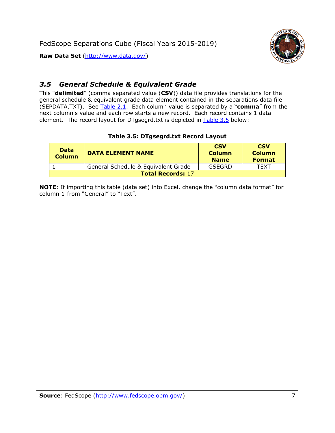

## <span id="page-7-0"></span>*3.5 General Schedule & Equivalent Grade*

This "**delimited**" (comma separated value (**CSV**)) data file provides translations for the general schedule & equivalent grade data element contained in the separations data file (SEPDATA.TXT). See [Table 2.1.](#page-4-0) Each column value is separated by a "**comma**" from the next column's value and each row starts a new record. Each record contains 1 data element. The record layout for DTgsegrd.txt is depicted in **Table 3.5** below:

#### **Table 3.5: DTgsegrd.txt Record Layout**

<span id="page-7-1"></span>

| <b>Data</b><br><b>Column</b> | <b>DATA ELEMENT NAME</b>            | <b>CSV</b><br><b>Column</b><br><b>Name</b> | <b>CSV</b><br><b>Column</b><br><b>Format</b> |
|------------------------------|-------------------------------------|--------------------------------------------|----------------------------------------------|
|                              | General Schedule & Equivalent Grade | GSEGRD                                     | TFXT                                         |
| <b>Total Records: 17</b>     |                                     |                                            |                                              |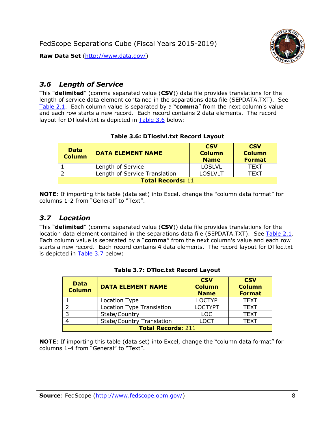

## <span id="page-8-0"></span>*3.6 Length of Service*

This "**delimited**" (comma separated value (**CSV**)) data file provides translations for the length of service data element contained in the separations data file (SEPDATA.TXT). See [Table 2.1.](#page-4-0) Each column value is separated by a "**comma**" from the next column's value and each row starts a new record. Each record contains 2 data elements. The record layout for DTloslvl.txt is depicted in [Table 3.6](#page-8-2) below:

#### **Table 3.6: DTloslvl.txt Record Layout**

<span id="page-8-2"></span>

| <b>Data</b><br><b>Column</b> | <b>DATA ELEMENT NAME</b>      | <b>CSV</b><br><b>Column</b><br><b>Name</b> | <b>CSV</b><br><b>Column</b><br><b>Format</b> |
|------------------------------|-------------------------------|--------------------------------------------|----------------------------------------------|
|                              | Length of Service             | <b>LOSLVL</b>                              | TFXT                                         |
|                              | Length of Service Translation | LOSLVLT                                    | TFXT                                         |
| <b>Total Records: 11</b>     |                               |                                            |                                              |

**NOTE**: If importing this table (data set) into Excel, change the "column data format" for columns 1-2 from "General" to "Text".

## <span id="page-8-1"></span>*3.7 Location*

This "**delimited**" (comma separated value (**CSV**)) data file provides translations for the location data element contained in the separations data file (SEPDATA.TXT). See [Table 2.1.](#page-4-0) Each column value is separated by a "**comma**" from the next column's value and each row starts a new record. Each record contains 4 data elements. The record layout for DTloc.txt is depicted in [Table 3.7](#page-8-3) below:

<span id="page-8-3"></span>

| <b>Data</b><br><b>Column</b> | <b>DATA ELEMENT NAME</b>         | <b>CSV</b><br><b>Column</b><br><b>Name</b> | <b>CSV</b><br><b>Column</b><br><b>Format</b> |
|------------------------------|----------------------------------|--------------------------------------------|----------------------------------------------|
|                              | Location Type                    | <b>LOCTYP</b>                              | <b>TEXT</b>                                  |
| $\mathcal{P}$                | <b>Location Type Translation</b> | <b>LOCTYPT</b>                             | <b>TEXT</b>                                  |
| 3                            | State/Country                    | <b>LOC</b>                                 | <b>TEXT</b>                                  |
|                              | <b>State/Country Translation</b> | <b>LOCT</b>                                | <b>TEXT</b>                                  |
| <b>Total Records: 211</b>    |                                  |                                            |                                              |

#### **Table 3.7: DTloc.txt Record Layout**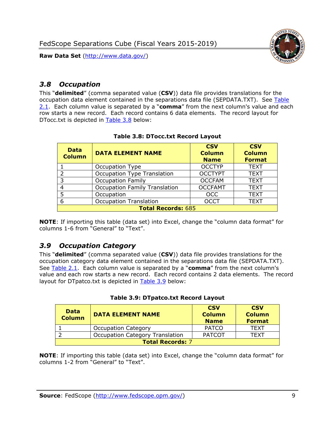



## <span id="page-9-0"></span>*3.8 Occupation*

This "**delimited**" (comma separated value (**CSV**)) data file provides translations for the occupation data element contained in the separations data file (SEPDATA.TXT). See [Table](#page-4-0)  [2.1.](#page-4-0) Each column value is separated by a "**comma**" from the next column's value and each row starts a new record. Each record contains 6 data elements. The record layout for DTocc.txt is depicted in [Table 3.8](#page-9-2) below:

<span id="page-9-2"></span>

| <b>Data</b><br><b>Column</b> | <b>DATA ELEMENT NAME</b>             | <b>CSV</b><br><b>Column</b><br><b>Name</b> | <b>CSV</b><br><b>Column</b><br><b>Format</b> |
|------------------------------|--------------------------------------|--------------------------------------------|----------------------------------------------|
|                              | Occupation Type                      | <b>OCCTYP</b>                              | <b>TEXT</b>                                  |
|                              | <b>Occupation Type Translation</b>   | <b>OCCTYPT</b>                             | <b>TEXT</b>                                  |
|                              | <b>Occupation Family</b>             | <b>OCCFAM</b>                              | <b>TEXT</b>                                  |
|                              | <b>Occupation Family Translation</b> | <b>OCCFAMT</b>                             | <b>TEXT</b>                                  |
|                              | Occupation                           | <b>OCC</b>                                 | <b>TEXT</b>                                  |
|                              | <b>Occupation Translation</b>        | <b>OCCT</b>                                | <b>TEXT</b>                                  |
| <b>Total Records: 685</b>    |                                      |                                            |                                              |

#### **Table 3.8: DTocc.txt Record Layout**

**NOTE**: If importing this table (data set) into Excel, change the "column data format" for columns 1-6 from "General" to "Text".

#### <span id="page-9-1"></span>*3.9 Occupation Category*

This "**delimited**" (comma separated value (**CSV**)) data file provides translations for the occupation category data element contained in the separations data file (SEPDATA.TXT). See [Table 2.1.](#page-4-0) Each column value is separated by a "**comma**" from the next column's value and each row starts a new record. Each record contains 2 data elements. The record layout for DTpatco.txt is depicted in **Table 3.9** below:

<span id="page-9-3"></span>

| Data<br><b>Column</b>   | <b>DATA ELEMENT NAME</b>               | <b>CSV</b><br><b>Column</b><br><b>Name</b> | <b>CSV</b><br><b>Column</b><br><b>Format</b> |
|-------------------------|----------------------------------------|--------------------------------------------|----------------------------------------------|
|                         | <b>Occupation Category</b>             | <b>PATCO</b>                               | <b>TEXT</b>                                  |
|                         | <b>Occupation Category Translation</b> | <b>PATCOT</b>                              | TFXT                                         |
| <b>Total Records: 7</b> |                                        |                                            |                                              |

**Table 3.9: DTpatco.txt Record Layout**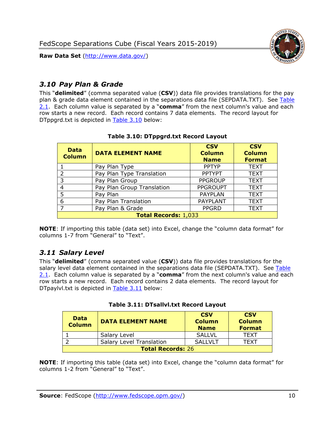

## <span id="page-10-0"></span>*3.10 Pay Plan & Grade*

This "**delimited**" (comma separated value (**CSV**)) data file provides translations for the pay plan & grade data element contained in the separations data file (SEPDATA.TXT). See [Table](#page-4-0)  [2.1.](#page-4-0) Each column value is separated by a "**comma**" from the next column's value and each row starts a new record. Each record contains 7 data elements. The record layout for DTppgrd.txt is depicted in [Table 3.10](#page-10-2) below:

<span id="page-10-2"></span>

| <b>Data</b><br><b>Column</b> | <b>DATA ELEMENT NAME</b>   | <b>CSV</b><br><b>Column</b><br><b>Name</b> | <b>CSV</b><br><b>Column</b><br><b>Format</b> |
|------------------------------|----------------------------|--------------------------------------------|----------------------------------------------|
|                              | Pay Plan Type              | <b>PPTYP</b>                               | <b>TEXT</b>                                  |
| $\mathcal{D}$                | Pay Plan Type Translation  | <b>PPTYPT</b>                              | <b>TEXT</b>                                  |
| 3                            | Pay Plan Group             | <b>PPGROUP</b>                             | <b>TEXT</b>                                  |
| 4                            | Pay Plan Group Translation | <b>PPGROUPT</b>                            | <b>TEXT</b>                                  |
| 5                            | Pay Plan                   | <b>PAYPLAN</b>                             | <b>TEXT</b>                                  |
| 6                            | Pay Plan Translation       | PAYPLANT                                   | <b>TEXT</b>                                  |
|                              | Pay Plan & Grade           | <b>PPGRD</b>                               | <b>TEXT</b>                                  |
| <b>Total Records: 1,033</b>  |                            |                                            |                                              |

#### **Table 3.10: DTppgrd.txt Record Layout**

**NOTE**: If importing this table (data set) into Excel, change the "column data format" for columns 1-7 from "General" to "Text".

## <span id="page-10-1"></span>*3.11 Salary Level*

This "**delimited**" (comma separated value (**CSV**)) data file provides translations for the salary level data element contained in the separations data file (SEPDATA.TXT). See [Table](#page-4-0)  [2.1.](#page-4-0) Each column value is separated by a "**comma**" from the next column's value and each row starts a new record. Each record contains 2 data elements. The record layout for DTpaylvl.txt is depicted in [Table 3.11](#page-10-3) below:

<span id="page-10-3"></span>

| <b>Data</b><br><b>Column</b> | <b>DATA ELEMENT NAME</b>        | <b>CSV</b><br><b>Column</b><br><b>Name</b> | <b>CSV</b><br><b>Column</b><br><b>Format</b> |
|------------------------------|---------------------------------|--------------------------------------------|----------------------------------------------|
|                              | Salary Level                    | <b>SALLVL</b>                              | TFXT                                         |
|                              | <b>Salary Level Translation</b> | <b>SALLVLT</b>                             | TFXT                                         |
| <b>Total Records: 26</b>     |                                 |                                            |                                              |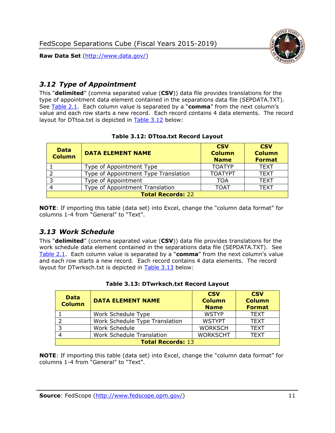

## <span id="page-11-0"></span>*3.12 Type of Appointment*

This "**delimited**" (comma separated value (**CSV**)) data file provides translations for the type of appointment data element contained in the separations data file (SEPDATA.TXT). See [Table 2.1.](#page-4-0) Each column value is separated by a "**comma**" from the next column's value and each row starts a new record. Each record contains 4 data elements. The record layout for DTtoa.txt is depicted in [Table 3.12](#page-11-2) below:

<span id="page-11-2"></span>

| <b>Data</b><br><b>Column</b> | <b>DATA ELEMENT NAME</b>             | <b>CSV</b><br><b>Column</b><br><b>Name</b> | <b>CSV</b><br><b>Column</b><br><b>Format</b> |
|------------------------------|--------------------------------------|--------------------------------------------|----------------------------------------------|
|                              | Type of Appointment Type             | <b>TOATYP</b>                              | <b>TEXT</b>                                  |
|                              | Type of Appointment Type Translation | <b>TOATYPT</b>                             | <b>TEXT</b>                                  |
| 3                            | Type of Appointment                  | TOA                                        | <b>TEXT</b>                                  |
| 4                            | Type of Appointment Translation      | <b>TOAT</b>                                | <b>TEXT</b>                                  |
| <b>Total Records: 22</b>     |                                      |                                            |                                              |

#### **Table 3.12: DTtoa.txt Record Layout**

**NOTE**: If importing this table (data set) into Excel, change the "column data format" for columns 1-4 from "General" to "Text".

#### <span id="page-11-1"></span>*3.13 Work Schedule*

This "**delimited**" (comma separated value (**CSV**)) data file provides translations for the work schedule data element contained in the separations data file (SEPDATA.TXT). See [Table 2.1.](#page-4-0) Each column value is separated by a "**comma**" from the next column's value and each row starts a new record. Each record contains 4 data elements. The record layout for DTwrksch.txt is depicted in [Table 3.13](#page-11-3) below:

<span id="page-11-3"></span>

| <b>Data</b><br><b>Column</b> | <b>DATA ELEMENT NAME</b>       | <b>CSV</b><br><b>Column</b><br><b>Name</b> | <b>CSV</b><br><b>Column</b><br><b>Format</b> |
|------------------------------|--------------------------------|--------------------------------------------|----------------------------------------------|
|                              | Work Schedule Type             | <b>WSTYP</b>                               | <b>TEXT</b>                                  |
|                              | Work Schedule Type Translation | <b>WSTYPT</b>                              | <b>TEXT</b>                                  |
|                              | Work Schedule                  | <b>WORKSCH</b>                             | <b>TEXT</b>                                  |
|                              | Work Schedule Translation      | <b>WORKSCHT</b>                            | <b>TEXT</b>                                  |
| <b>Total Records: 13</b>     |                                |                                            |                                              |

#### **Table 3.13: DTwrksch.txt Record Layout**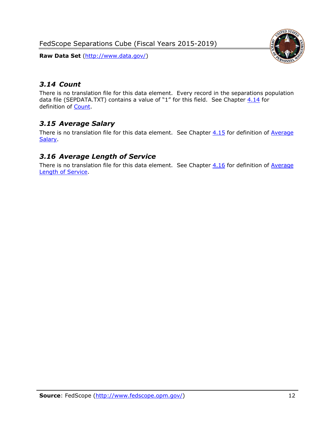FedScope Separations Cube (Fiscal Years 2015-2019)

**Raw Data Set** (http://www.data.gov/)



## <span id="page-12-0"></span>*3.14 Count*

There is no translation file for this data element. Every record in the separations population data file (SEPDATA.TXT) contains a value of "1" for this field. See Chapter  $4.14$  for definition of [Count.](#page-16-2)

## <span id="page-12-1"></span>*3.15 Average Salary*

There is no translation file for this data element. See Chapter  $4.15$  for definition of Average **Salary** 

## <span id="page-12-2"></span>*3.16 Average Length of Service*

There is no translation file for this data element. See Chapter  $4.16$  for definition of Average [Length of Service.](#page-16-4)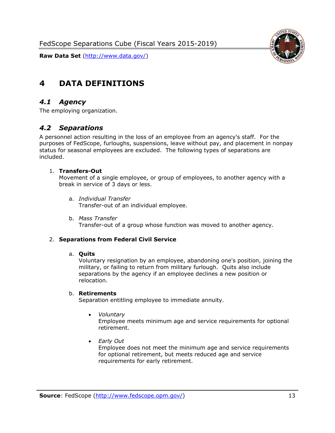



# <span id="page-13-0"></span>**4 DATA DEFINITIONS**

#### <span id="page-13-1"></span>*4.1 Agency*

<span id="page-13-2"></span>The employing organization.

#### *4.2 Separations*

A personnel action resulting in the loss of an employee from an agency's staff. For the purposes of FedScope, furloughs, suspensions, leave without pay, and placement in nonpay status for seasonal employees are excluded. The following types of separations are included.

#### 1. **Transfers-Out**

Movement of a single employee, or group of employees, to another agency with a break in service of 3 days or less.

- a. *Individual Transfer* Transfer-out of an individual employee.
- b. *Mass Transfer* Transfer-out of a group whose function was moved to another agency.

#### 2. **Separations from Federal Civil Service**

#### a. **Quits**

Voluntary resignation by an employee, abandoning one's position, joining the military, or failing to return from military furlough. Quits also include separations by the agency if an employee declines a new position or relocation.

#### b. **Retirements**

Separation entitling employee to immediate annuity.

• *Voluntary*

Employee meets minimum age and service requirements for optional retirement.

• *Early Out*

Employee does not meet the minimum age and service requirements for optional retirement, but meets reduced age and service requirements for early retirement.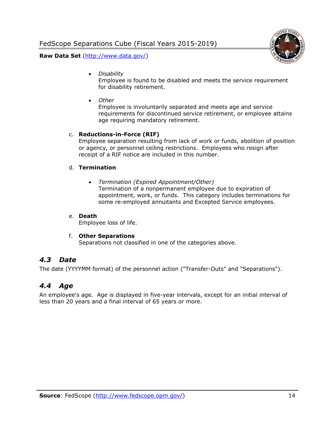

• *Disability*

Employee is found to be disabled and meets the service requirement for disability retirement.

• *Other*

Employee is involuntarily separated and meets age and service requirements for discontinued service retirement, or employee attains age requiring mandatory retirement.

#### c. **Reductions-in-Force (RIF)**

Employee separation resulting from lack of work or funds, abolition of position or agency, or personnel ceiling restrictions. Employees who resign after receipt of a RIF notice are included in this number.

#### d. **Termination**

• *Termination (Expired Appointment/Other)* Termination of a nonpermanent employee due to expiration of appointment, work, or funds. This category includes terminations for some re-employed annuitants and Excepted Service employees.

#### e. **Death**

Employee loss of life.

#### f. **Other Separations**

Separations not classified in one of the categories above.

#### <span id="page-14-0"></span>*4.3 Date*

<span id="page-14-1"></span>The date (YYYYMM format) of the personnel action ("Transfer-Outs" and "Separations").

#### *4.4 Age*

An employee's age. Age is displayed in five-year intervals, except for an initial interval of less than 20 years and a final interval of 65 years or more.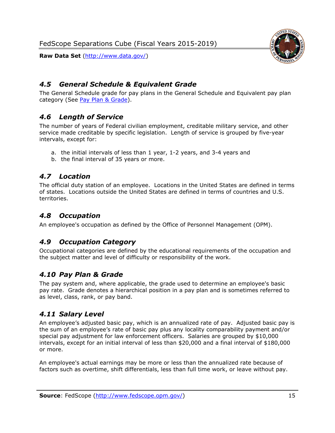

## <span id="page-15-0"></span>*4.5 General Schedule & Equivalent Grade*

The General Schedule grade for pay plans in the General Schedule and Equivalent pay plan category (See [Pay Plan & Grade\)](#page-10-0).

## <span id="page-15-1"></span>*4.6 Length of Service*

The number of years of Federal civilian employment, creditable military service, and other service made creditable by specific legislation. Length of service is grouped by five-year intervals, except for:

- a. the initial intervals of less than 1 year, 1-2 years, and 3-4 years and
- b. the final interval of 35 years or more.

## <span id="page-15-2"></span>*4.7 Location*

The official duty station of an employee. Locations in the United States are defined in terms of states. Locations outside the United States are defined in terms of countries and U.S. territories.

## <span id="page-15-3"></span>*4.8 Occupation*

<span id="page-15-4"></span>An employee's occupation as defined by the Office of Personnel Management (OPM).

## *4.9 Occupation Category*

Occupational categories are defined by the educational requirements of the occupation and the subject matter and level of difficulty or responsibility of the work.

#### <span id="page-15-5"></span>*4.10 Pay Plan & Grade*

The pay system and, where applicable, the grade used to determine an employee's basic pay rate. Grade denotes a hierarchical position in a pay plan and is sometimes referred to as level, class, rank, or pay band.

#### <span id="page-15-6"></span>*4.11 Salary Level*

An employee's adjusted basic pay, which is an annualized rate of pay. Adjusted basic pay is the sum of an employee's rate of basic pay plus any locality comparability payment and/or special pay adjustment for law enforcement officers. Salaries are grouped by \$10,000 intervals, except for an initial interval of less than \$20,000 and a final interval of \$180,000 or more.

An employee's actual earnings may be more or less than the annualized rate because of factors such as overtime, shift differentials, less than full time work, or leave without pay.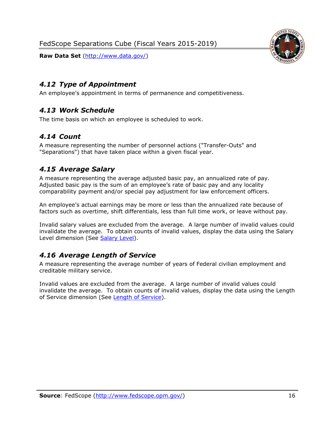

## <span id="page-16-0"></span>*4.12 Type of Appointment*

<span id="page-16-1"></span>An employee's appointment in terms of permanence and competitiveness.

## *4.13 Work Schedule*

<span id="page-16-2"></span>The time basis on which an employee is scheduled to work.

## *4.14 Count*

A measure representing the number of personnel actions ("Transfer-Outs" and "Separations") that have taken place within a given fiscal year.

## <span id="page-16-3"></span>*4.15 Average Salary*

A measure representing the average adjusted basic pay, an annualized rate of pay. Adjusted basic pay is the sum of an employee's rate of basic pay and any locality comparability payment and/or special pay adjustment for law enforcement officers.

An employee's actual earnings may be more or less than the annualized rate because of factors such as overtime, shift differentials, less than full time work, or leave without pay.

Invalid salary values are excluded from the average. A large number of invalid values could invalidate the average. To obtain counts of invalid values, display the data using the Salary Level dimension (See [Salary Level\)](#page-15-6).

## <span id="page-16-4"></span>*4.16 Average Length of Service*

A measure representing the average number of years of Federal civilian employment and creditable military service.

Invalid values are excluded from the average. A large number of invalid values could invalidate the average. To obtain counts of invalid values, display the data using the Length of Service dimension (See [Length of Service\)](#page-8-0).